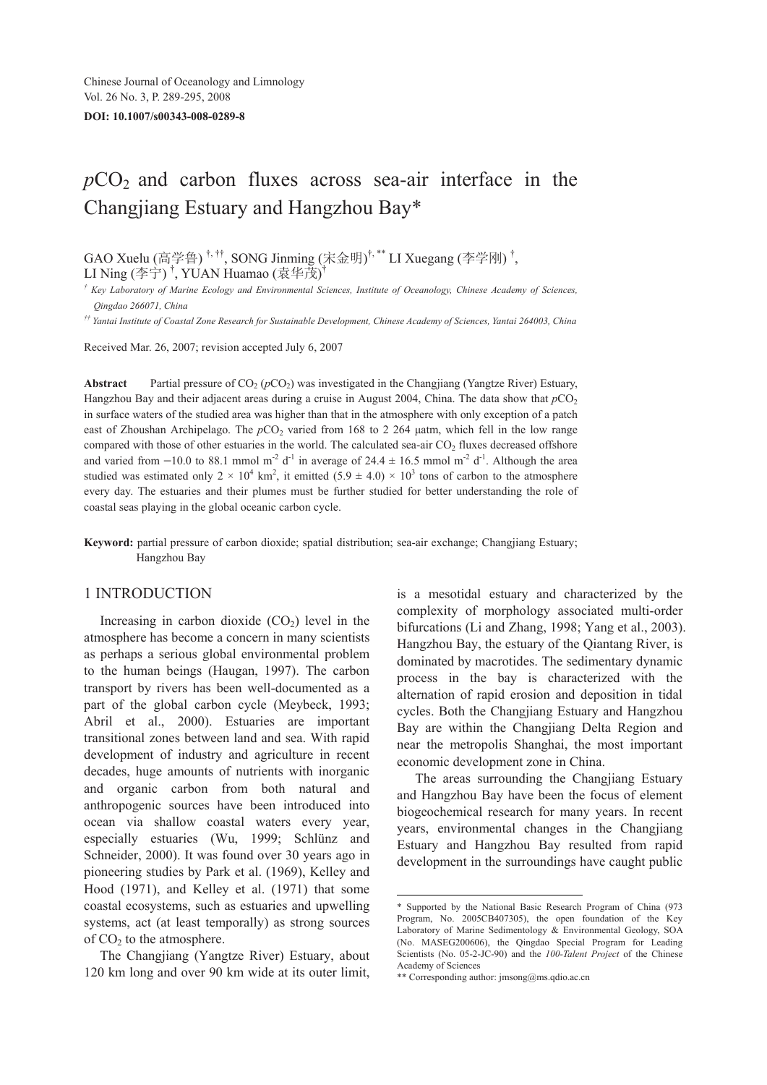# $pCO<sub>2</sub>$  and carbon fluxes across sea-air interface in the Changjiang Estuary and Hangzhou Bay\*

GAO Xuelu (高学鲁)<sup>†,††</sup>, SONG Jinming (宋金明)<sup>†,\*\*</sup> LI Xuegang (李学刚)<sup>†</sup>, LI Ning (李宁)<sup>†</sup>, YUAN Huamao (袁华茂)<sup>†</sup>

*† Key Laboratory of Marine Ecology and Environmental Sciences, Institute of Oceanology, Chinese Academy of Sciences, Qingdao 266071, China* 

*†† Yantai Institute of Coastal Zone Research for Sustainable Development, Chinese Academy of Sciences, Yantai 264003, China* 

Received Mar. 26, 2007; revision accepted July 6, 2007

**Abstract** Partial pressure of  $CO_2$  ( $pCO_2$ ) was investigated in the Changjiang (Yangtze River) Estuary, Hangzhou Bay and their adjacent areas during a cruise in August 2004, China. The data show that  $pCO<sub>2</sub>$ in surface waters of the studied area was higher than that in the atmosphere with only exception of a patch east of Zhoushan Archipelago. The *p*CO<sub>2</sub> varied from 168 to 2 264 μatm, which fell in the low range compared with those of other estuaries in the world. The calculated sea-air CO<sub>2</sub> fluxes decreased offshore and varied from  $-10.0$  to 88.1 mmol m<sup>-2</sup> d<sup>-1</sup> in average of 24.4  $\pm$  16.5 mmol m<sup>-2</sup> d<sup>-1</sup>. Although the area studied was estimated only  $2 \times 10^4$  km<sup>2</sup>, it emitted  $(5.9 \pm 4.0) \times 10^3$  tons of carbon to the atmosphere every day. The estuaries and their plumes must be further studied for better understanding the role of coastal seas playing in the global oceanic carbon cycle.

**Keyword:** partial pressure of carbon dioxide; spatial distribution; sea-air exchange; Changjiang Estuary; Hangzhou Bay

#### 1 INTRODUCTION

Increasing in carbon dioxide  $(CO<sub>2</sub>)$  level in the atmosphere has become a concern in many scientists as perhaps a serious global environmental problem to the human beings (Haugan, 1997). The carbon transport by rivers has been well-documented as a part of the global carbon cycle (Meybeck, 1993; Abril et al., 2000). Estuaries are important transitional zones between land and sea. With rapid development of industry and agriculture in recent decades, huge amounts of nutrients with inorganic and organic carbon from both natural and anthropogenic sources have been introduced into ocean via shallow coastal waters every year, especially estuaries (Wu, 1999; Schlünz and Schneider, 2000). It was found over 30 years ago in pioneering studies by Park et al. (1969), Kelley and Hood (1971), and Kelley et al. (1971) that some coastal ecosystems, such as estuaries and upwelling systems, act (at least temporally) as strong sources of  $CO<sub>2</sub>$  to the atmosphere.

The Changjiang (Yangtze River) Estuary, about 120 km long and over 90 km wide at its outer limit, is a mesotidal estuary and characterized by the complexity of morphology associated multi-order bifurcations (Li and Zhang, 1998; Yang et al., 2003). Hangzhou Bay, the estuary of the Qiantang River, is dominated by macrotides. The sedimentary dynamic process in the bay is characterized with the alternation of rapid erosion and deposition in tidal cycles. Both the Changjiang Estuary and Hangzhou Bay are within the Changjiang Delta Region and near the metropolis Shanghai, the most important economic development zone in China.

The areas surrounding the Changjiang Estuary and Hangzhou Bay have been the focus of element biogeochemical research for many years. In recent years, environmental changes in the Changjiang Estuary and Hangzhou Bay resulted from rapid development in the surroundings have caught public

-

<sup>\*</sup> Supported by the National Basic Research Program of China (973 Program, No. 2005CB407305), the open foundation of the Key Laboratory of Marine Sedimentology & Environmental Geology, SOA (No. MASEG200606), the Qingdao Special Program for Leading Scientists (No. 05-2-JC-90) and the *100-Talent Project* of the Chinese Academy of Sciences

<sup>\*\*</sup> Corresponding author: jmsong@ms.qdio.ac.cn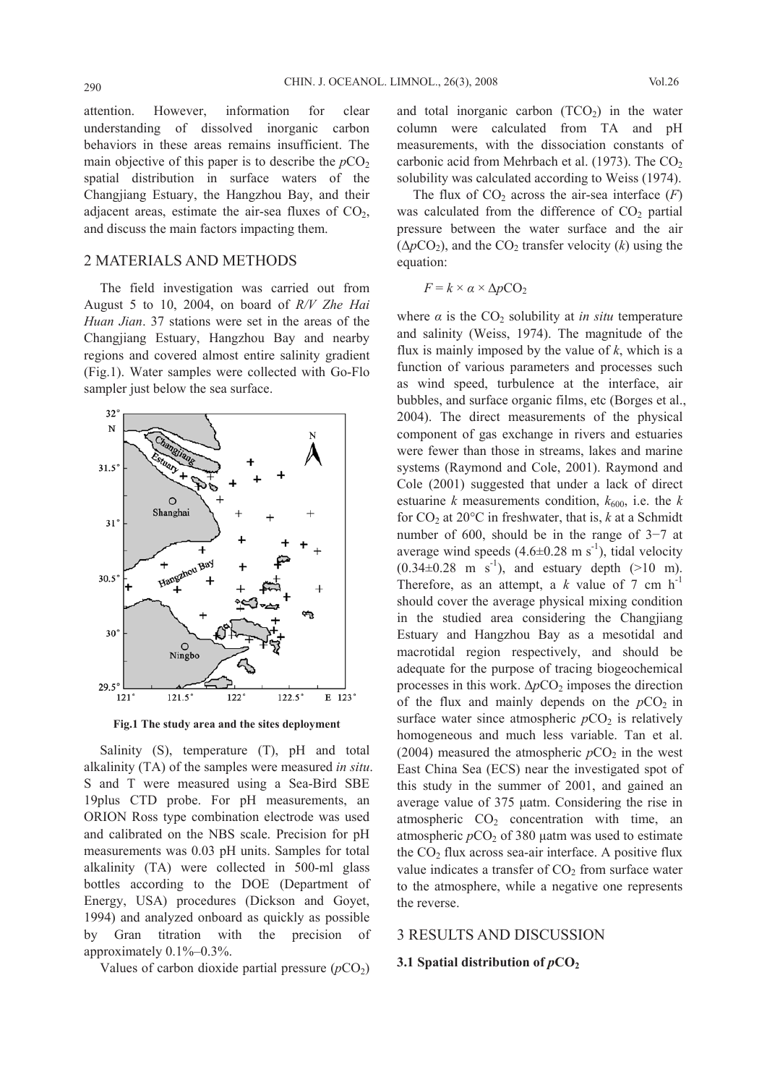attention. However, information for clear understanding of dissolved inorganic carbon behaviors in these areas remains insufficient. The main objective of this paper is to describe the  $pCO<sub>2</sub>$ spatial distribution in surface waters of the Changjiang Estuary, the Hangzhou Bay, and their adjacent areas, estimate the air-sea fluxes of  $CO<sub>2</sub>$ , and discuss the main factors impacting them.

# 2 MATERIALS AND METHODS

The field investigation was carried out from August 5 to 10, 2004, on board of *R/V Zhe Hai Huan Jian*. 37 stations were set in the areas of the Changjiang Estuary, Hangzhou Bay and nearby regions and covered almost entire salinity gradient (Fig.1). Water samples were collected with Go-Flo sampler just below the sea surface.



**Fig.1 The study area and the sites deployment**

Salinity (S), temperature (T), pH and total alkalinity (TA) of the samples were measured *in situ*. S and T were measured using a Sea-Bird SBE 19plus CTD probe. For pH measurements, an ORION Ross type combination electrode was used and calibrated on the NBS scale. Precision for pH measurements was 0.03 pH units. Samples for total alkalinity (TA) were collected in 500-ml glass bottles according to the DOE (Department of Energy, USA) procedures (Dickson and Goyet, 1994) and analyzed onboard as quickly as possible by Gran titration with the precision of approximately 0.1%–0.3%.

Values of carbon dioxide partial pressure  $(pCO<sub>2</sub>)$ 

and total inorganic carbon  $(TCO<sub>2</sub>)$  in the water column were calculated from TA and pH measurements, with the dissociation constants of carbonic acid from Mehrbach et al. (1973). The  $CO<sub>2</sub>$ solubility was calculated according to Weiss (1974).

The flux of  $CO<sub>2</sub>$  across the air-sea interface  $(F)$ was calculated from the difference of  $CO<sub>2</sub>$  partial pressure between the water surface and the air  $(\Delta p CO_2)$ , and the  $CO_2$  transfer velocity (*k*) using the equation:

$$
F = k \times \alpha \times \Delta p \text{CO}_2
$$

where  $\alpha$  is the  $CO_2$  solubility at *in situ* temperature and salinity (Weiss, 1974). The magnitude of the flux is mainly imposed by the value of *k*, which is a function of various parameters and processes such as wind speed, turbulence at the interface, air bubbles, and surface organic films, etc (Borges et al., 2004). The direct measurements of the physical component of gas exchange in rivers and estuaries were fewer than those in streams, lakes and marine systems (Raymond and Cole, 2001). Raymond and Cole (2001) suggested that under a lack of direct estuarine *k* measurements condition,  $k_{600}$ , i.e. the *k* for  $CO<sub>2</sub>$  at  $20^{\circ}$ C in freshwater, that is, *k* at a Schmidt number of 600, should be in the range of 3−7 at average wind speeds  $(4.6\pm0.28 \text{ m s}^{-1})$ , tidal velocity  $(0.34\pm0.28 \text{ m s}^{-1})$ , and estuary depth (>10 m). Therefore, as an attempt, a  $k$  value of 7 cm  $h^{-1}$ should cover the average physical mixing condition in the studied area considering the Changjiang Estuary and Hangzhou Bay as a mesotidal and macrotidal region respectively, and should be adequate for the purpose of tracing biogeochemical processes in this work.  $\Delta p$ CO<sub>2</sub> imposes the direction of the flux and mainly depends on the  $pCO<sub>2</sub>$  in surface water since atmospheric  $pCO<sub>2</sub>$  is relatively homogeneous and much less variable. Tan et al. (2004) measured the atmospheric  $pCO<sub>2</sub>$  in the west East China Sea (ECS) near the investigated spot of this study in the summer of 2001, and gained an average value of 375 μatm. Considering the rise in atmospheric  $CO<sub>2</sub>$  concentration with time, an atmospheric  $pCO_2$  of 380  $\mu$ atm was used to estimate the  $CO<sub>2</sub>$  flux across sea-air interface. A positive flux value indicates a transfer of  $CO<sub>2</sub>$  from surface water to the atmosphere, while a negative one represents the reverse.

#### 3 RESULTS AND DISCUSSION

#### **3.1 Spatial distribution of**  $pCO<sub>2</sub>$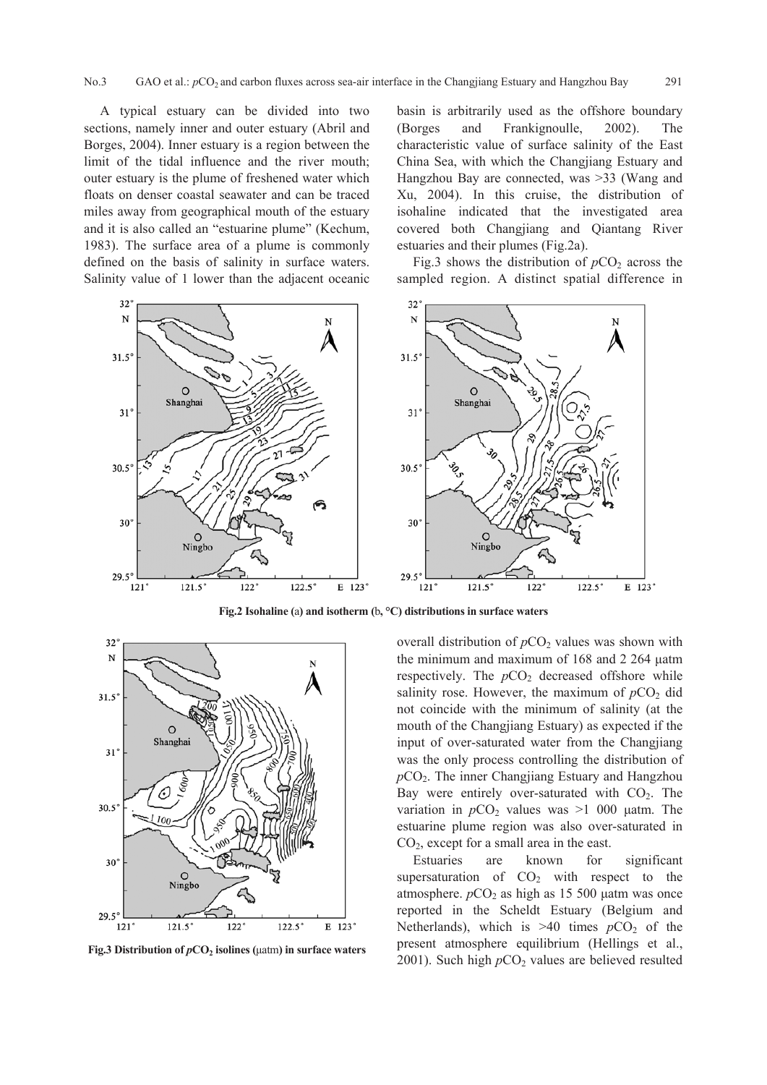A typical estuary can be divided into two sections, namely inner and outer estuary (Abril and Borges, 2004). Inner estuary is a region between the limit of the tidal influence and the river mouth; outer estuary is the plume of freshened water which floats on denser coastal seawater and can be traced miles away from geographical mouth of the estuary and it is also called an "estuarine plume" (Kechum, 1983). The surface area of a plume is commonly defined on the basis of salinity in surface waters. Salinity value of 1 lower than the adjacent oceanic basin is arbitrarily used as the offshore boundary (Borges and Frankignoulle, 2002). The characteristic value of surface salinity of the East China Sea, with which the Changjiang Estuary and Hangzhou Bay are connected, was >33 (Wang and Xu, 2004). In this cruise, the distribution of isohaline indicated that the investigated area covered both Changjiang and Qiantang River estuaries and their plumes (Fig.2a).

Fig.3 shows the distribution of  $pCO<sub>2</sub>$  across the sampled region. A distinct spatial difference in



**Fig.2 Isohaline (**a**) and isotherm (**b**, °C) distributions in surface waters**



**Fig.3 Distribution of** *p***CO<sub>2</sub> isolines (μatm) in surface waters** 

overall distribution of  $pCO<sub>2</sub>$  values was shown with the minimum and maximum of 168 and 2 264 μatm respectively. The  $pCO<sub>2</sub>$  decreased offshore while salinity rose. However, the maximum of  $pCO<sub>2</sub>$  did not coincide with the minimum of salinity (at the mouth of the Changjiang Estuary) as expected if the input of over-saturated water from the Changjiang was the only process controlling the distribution of  $pCO<sub>2</sub>$ . The inner Changjiang Estuary and Hangzhou Bay were entirely over-saturated with  $CO<sub>2</sub>$ . The variation in  $pCO<sub>2</sub>$  values was  $>1$  000 μatm. The estuarine plume region was also over-saturated in  $CO<sub>2</sub>$ , except for a small area in the east.

Estuaries are known for significant supersaturation of  $CO<sub>2</sub>$  with respect to the atmosphere.  $pCO<sub>2</sub>$  as high as 15 500 μatm was once reported in the Scheldt Estuary (Belgium and Netherlands), which is  $>40$  times  $pCO<sub>2</sub>$  of the present atmosphere equilibrium (Hellings et al., 2001). Such high  $pCO<sub>2</sub>$  values are believed resulted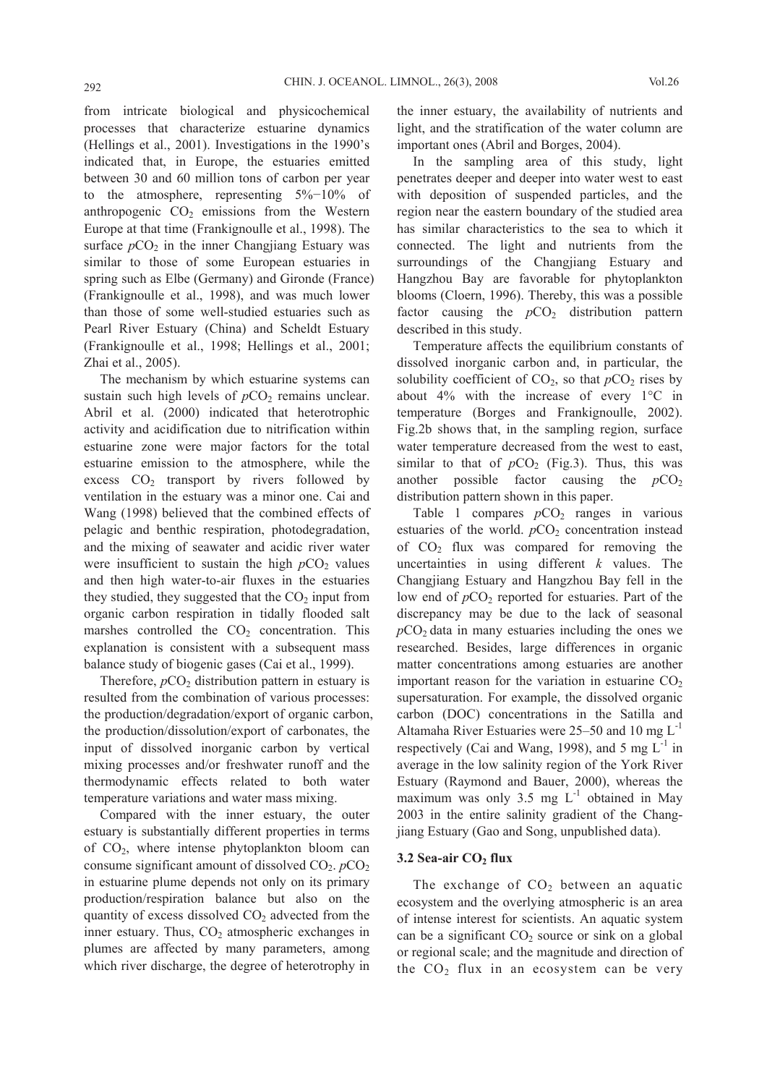from intricate biological and physicochemical processes that characterize estuarine dynamics (Hellings et al., 2001). Investigations in the 1990's indicated that, in Europe, the estuaries emitted between 30 and 60 million tons of carbon per year to the atmosphere, representing 5%−10% of anthropogenic  $CO<sub>2</sub>$  emissions from the Western Europe at that time (Frankignoulle et al., 1998). The surface  $pCO<sub>2</sub>$  in the inner Changjiang Estuary was similar to those of some European estuaries in spring such as Elbe (Germany) and Gironde (France) (Frankignoulle et al., 1998), and was much lower than those of some well-studied estuaries such as Pearl River Estuary (China) and Scheldt Estuary (Frankignoulle et al., 1998; Hellings et al., 2001; Zhai et al., 2005).

The mechanism by which estuarine systems can sustain such high levels of  $pCO<sub>2</sub>$  remains unclear. Abril et al. (2000) indicated that heterotrophic activity and acidification due to nitrification within estuarine zone were major factors for the total estuarine emission to the atmosphere, while the excess  $CO<sub>2</sub>$  transport by rivers followed by ventilation in the estuary was a minor one. Cai and Wang (1998) believed that the combined effects of pelagic and benthic respiration, photodegradation, and the mixing of seawater and acidic river water were insufficient to sustain the high  $pCO<sub>2</sub>$  values and then high water-to-air fluxes in the estuaries they studied, they suggested that the  $CO<sub>2</sub>$  input from organic carbon respiration in tidally flooded salt marshes controlled the  $CO<sub>2</sub>$  concentration. This explanation is consistent with a subsequent mass balance study of biogenic gases (Cai et al., 1999).

Therefore,  $pCO<sub>2</sub>$  distribution pattern in estuary is resulted from the combination of various processes: the production/degradation/export of organic carbon, the production/dissolution/export of carbonates, the input of dissolved inorganic carbon by vertical mixing processes and/or freshwater runoff and the thermodynamic effects related to both water temperature variations and water mass mixing.

Compared with the inner estuary, the outer estuary is substantially different properties in terms of  $CO<sub>2</sub>$ , where intense phytoplankton bloom can consume significant amount of dissolved  $CO<sub>2</sub>$ .  $pCO<sub>2</sub>$ in estuarine plume depends not only on its primary production/respiration balance but also on the quantity of excess dissolved  $CO<sub>2</sub>$  advected from the inner estuary. Thus,  $CO<sub>2</sub>$  atmospheric exchanges in plumes are affected by many parameters, among which river discharge, the degree of heterotrophy in the inner estuary, the availability of nutrients and light, and the stratification of the water column are important ones (Abril and Borges, 2004).

In the sampling area of this study, light penetrates deeper and deeper into water west to east with deposition of suspended particles, and the region near the eastern boundary of the studied area has similar characteristics to the sea to which it connected. The light and nutrients from the surroundings of the Changjiang Estuary and Hangzhou Bay are favorable for phytoplankton blooms (Cloern, 1996). Thereby, this was a possible factor causing the  $pCO<sub>2</sub>$  distribution pattern described in this study.

Temperature affects the equilibrium constants of dissolved inorganic carbon and, in particular, the solubility coefficient of  $CO<sub>2</sub>$ , so that  $pCO<sub>2</sub>$  rises by about 4% with the increase of every 1°C in temperature (Borges and Frankignoulle, 2002). Fig.2b shows that, in the sampling region, surface water temperature decreased from the west to east, similar to that of  $pCO<sub>2</sub>$  (Fig.3). Thus, this was another possible factor causing the  $pCO<sub>2</sub>$ distribution pattern shown in this paper.

Table 1 compares  $pCO<sub>2</sub>$  ranges in various estuaries of the world.  $pCO<sub>2</sub>$  concentration instead of  $CO<sub>2</sub>$  flux was compared for removing the uncertainties in using different *k* values. The Changjiang Estuary and Hangzhou Bay fell in the low end of  $pCO<sub>2</sub>$  reported for estuaries. Part of the discrepancy may be due to the lack of seasonal  $pCO<sub>2</sub>$  data in many estuaries including the ones we researched. Besides, large differences in organic matter concentrations among estuaries are another important reason for the variation in estuarine  $CO<sub>2</sub>$ supersaturation. For example, the dissolved organic carbon (DOC) concentrations in the Satilla and Altamaha River Estuaries were  $25-50$  and 10 mg  $L^{-1}$ respectively (Cai and Wang, 1998), and 5 mg  $L^{-1}$  in average in the low salinity region of the York River Estuary (Raymond and Bauer, 2000), whereas the maximum was only 3.5 mg  $L^{-1}$  obtained in May 2003 in the entire salinity gradient of the Changjiang Estuary (Gao and Song, unpublished data).

### 3.2 Sea-air CO<sub>2</sub> flux

The exchange of  $CO<sub>2</sub>$  between an aquatic ecosystem and the overlying atmospheric is an area of intense interest for scientists. An aquatic system can be a significant  $CO<sub>2</sub>$  source or sink on a global or regional scale; and the magnitude and direction of the  $CO<sub>2</sub>$  flux in an ecosystem can be very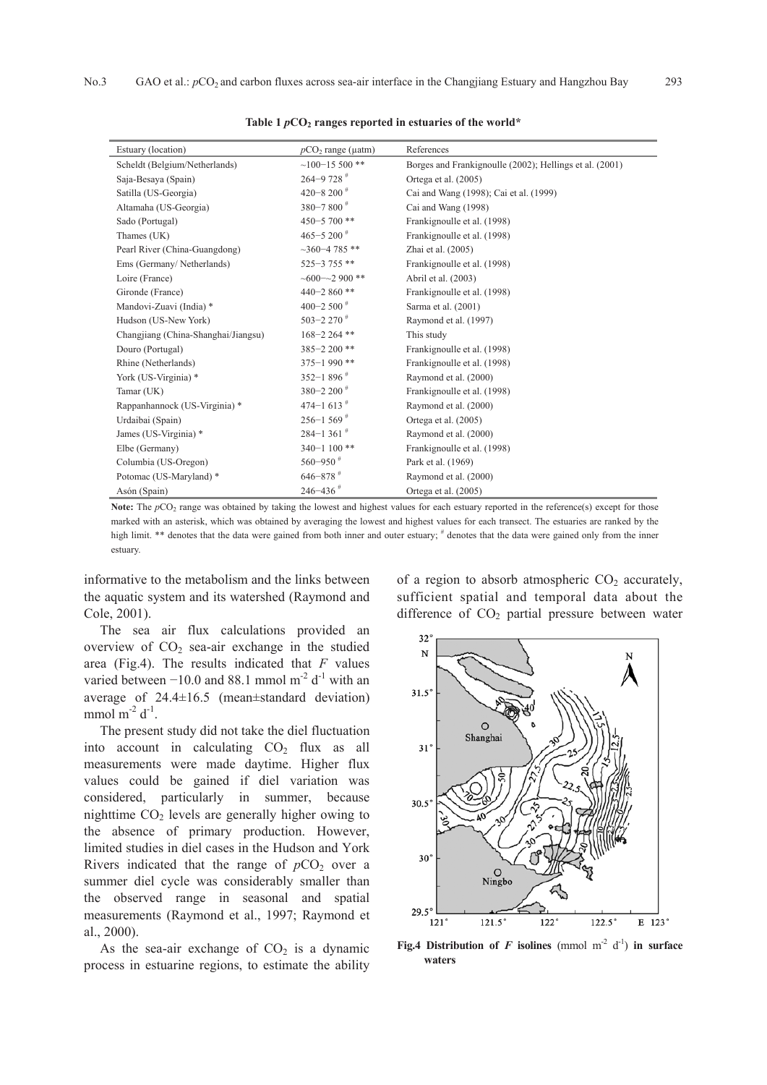| Estuary (location)                  | $pCO2$ range ( $\mu$ atm) | References                                              |
|-------------------------------------|---------------------------|---------------------------------------------------------|
| Scheldt (Belgium/Netherlands)       | $~100 - 15500$ **         | Borges and Frankignoulle (2002); Hellings et al. (2001) |
| Saja-Besaya (Spain)                 | $264 - 9728$ <sup>#</sup> | Ortega et al. (2005)                                    |
| Satilla (US-Georgia)                | 420-8 200 $*$             | Cai and Wang (1998); Cai et al. (1999)                  |
| Altamaha (US-Georgia)               | 380-7800 <sup>#</sup>     | Cai and Wang (1998)                                     |
| Sado (Portugal)                     | 450-5 700**               | Frankignoulle et al. (1998)                             |
| Thames (UK)                         | 465-5 200 $*$             | Frankignoulle et al. (1998)                             |
| Pearl River (China-Guangdong)       | $~1.360 - 4.785$ **       | Zhai et al. (2005)                                      |
| Ems (Germany/Netherlands)           | $525 - 3755$ **           | Frankignoulle et al. (1998)                             |
| Loire (France)                      | $~100 - 2900$ **          | Abril et al. (2003)                                     |
| Gironde (France)                    | $440 - 2860$ **           | Frankignoulle et al. (1998)                             |
| Mandovi-Zuavi (India) *             | 400-2 500 $^{\#}$         | Sarma et al. (2001)                                     |
| Hudson (US-New York)                | 503-2 270 $*$             | Raymond et al. (1997)                                   |
| Changjiang (China-Shanghai/Jiangsu) | $168 - 2264$ **           | This study                                              |
| Douro (Portugal)                    | 385-2 200**               | Frankignoulle et al. (1998)                             |
| Rhine (Netherlands)                 | $375 - 1990$ **           | Frankignoulle et al. (1998)                             |
| York (US-Virginia) *                | 352-1 896 $#$             | Raymond et al. (2000)                                   |
| Tamar (UK)                          | 380-2 200 $*$             | Frankignoulle et al. (1998)                             |
| Rappanhannock (US-Virginia) *       | 474-1 613 <sup>#</sup>    | Raymond et al. (2000)                                   |
| Urdaibai (Spain)                    | $256 - 1569$ <sup>#</sup> | Ortega et al. (2005)                                    |
| James (US-Virginia) *               | $284 - 1361$              | Raymond et al. (2000)                                   |
| Elbe (Germany)                      | $340 - 1100$ **           | Frankignoulle et al. (1998)                             |
| Columbia (US-Oregon)                | $560 - 950$ <sup>#</sup>  | Park et al. (1969)                                      |
| Potomac (US-Maryland) *             | $646 - 878$ <sup>#</sup>  | Raymond et al. (2000)                                   |
| Asón (Spain)                        | $246 - 436$ <sup>#</sup>  | Ortega et al. (2005)                                    |

Table 1  $pCO<sub>2</sub>$  ranges reported in estuaries of the world\*

**Note:** The *p*CO<sub>2</sub> range was obtained by taking the lowest and highest values for each estuary reported in the reference(s) except for those marked with an asterisk, which was obtained by averaging the lowest and highest values for each transect. The estuaries are ranked by the high limit. \*\* denotes that the data were gained from both inner and outer estuary; # denotes that the data were gained only from the inner estuary.

informative to the metabolism and the links between the aquatic system and its watershed (Raymond and Cole, 2001).

The sea air flux calculations provided an overview of  $CO<sub>2</sub>$  sea-air exchange in the studied area (Fig.4). The results indicated that *F* values varied between  $-10.0$  and 88.1 mmol m<sup>-2</sup> d<sup>-1</sup> with an average of 24.4±16.5 (mean±standard deviation) mmol  $m^{-2} d^{-1}$ .

The present study did not take the diel fluctuation into account in calculating  $CO<sub>2</sub>$  flux as all measurements were made daytime. Higher flux values could be gained if diel variation was considered, particularly in summer, because nighttime  $CO<sub>2</sub>$  levels are generally higher owing to the absence of primary production. However, limited studies in diel cases in the Hudson and York Rivers indicated that the range of  $pCO<sub>2</sub>$  over a summer diel cycle was considerably smaller than the observed range in seasonal and spatial measurements (Raymond et al., 1997; Raymond et al., 2000).

As the sea-air exchange of  $CO<sub>2</sub>$  is a dynamic process in estuarine regions, to estimate the ability

of a region to absorb atmospheric  $CO<sub>2</sub>$  accurately, sufficient spatial and temporal data about the difference of  $CO<sub>2</sub>$  partial pressure between water



**Fig.4 Distribution of** *F* **isolines (mmol m<sup>-2</sup> d<sup>-1</sup>) in surface waters**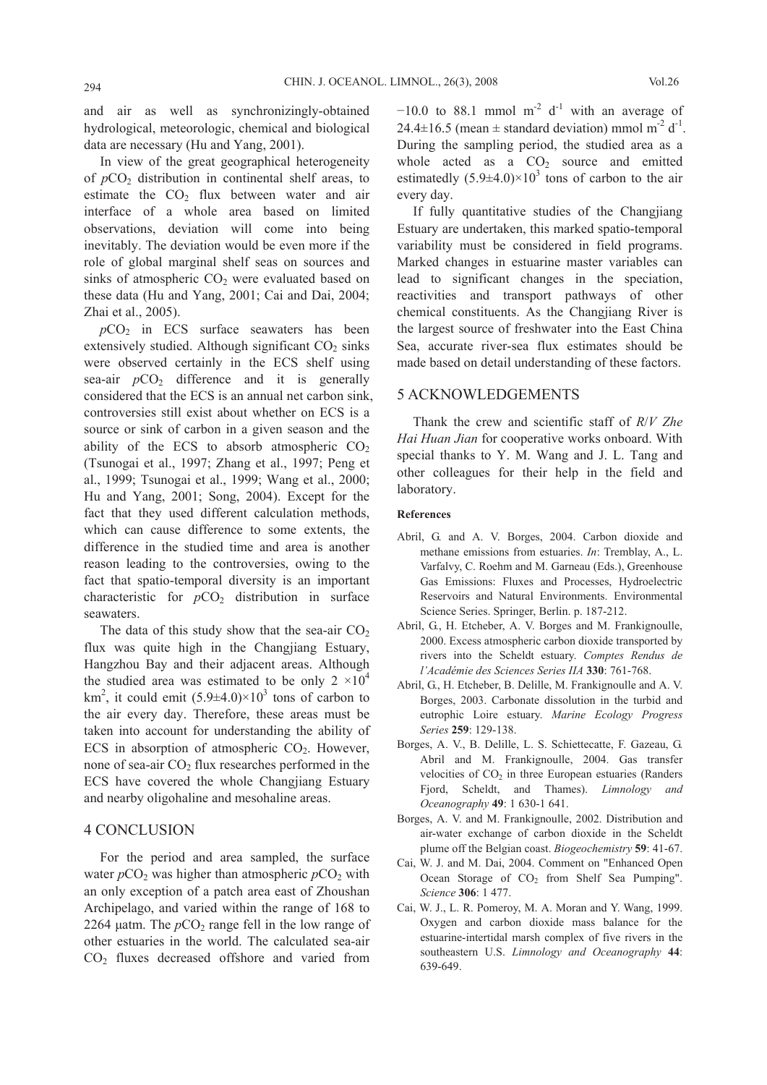and air as well as synchronizingly-obtained hydrological, meteorologic, chemical and biological data are necessary (Hu and Yang, 2001).

In view of the great geographical heterogeneity of  $pCO<sub>2</sub>$  distribution in continental shelf areas, to estimate the  $CO<sub>2</sub>$  flux between water and air interface of a whole area based on limited observations, deviation will come into being inevitably. The deviation would be even more if the role of global marginal shelf seas on sources and sinks of atmospheric  $CO<sub>2</sub>$  were evaluated based on these data (Hu and Yang, 2001; Cai and Dai, 2004; Zhai et al., 2005).

 $pCO<sub>2</sub>$  in ECS surface seawaters has been extensively studied. Although significant  $CO<sub>2</sub>$  sinks were observed certainly in the ECS shelf using sea-air  $pCO<sub>2</sub>$  difference and it is generally considered that the ECS is an annual net carbon sink, controversies still exist about whether on ECS is a source or sink of carbon in a given season and the ability of the ECS to absorb atmospheric  $CO<sub>2</sub>$ (Tsunogai et al., 1997; Zhang et al., 1997; Peng et al., 1999; Tsunogai et al., 1999; Wang et al., 2000; Hu and Yang, 2001; Song, 2004). Except for the fact that they used different calculation methods, which can cause difference to some extents, the difference in the studied time and area is another reason leading to the controversies, owing to the fact that spatio-temporal diversity is an important characteristic for  $pCO<sub>2</sub>$  distribution in surface seawaters.

The data of this study show that the sea-air  $CO<sub>2</sub>$ flux was quite high in the Changjiang Estuary, Hangzhou Bay and their adjacent areas. Although the studied area was estimated to be only  $2 \times 10^4$ km<sup>2</sup>, it could emit  $(5.9\pm4.0)\times10^3$  tons of carbon to the air every day. Therefore, these areas must be taken into account for understanding the ability of ECS in absorption of atmospheric  $CO<sub>2</sub>$ . However, none of sea-air  $CO<sub>2</sub>$  flux researches performed in the ECS have covered the whole Changjiang Estuary and nearby oligohaline and mesohaline areas.

# 4 CONCLUSION

For the period and area sampled, the surface water  $pCO<sub>2</sub>$  was higher than atmospheric  $pCO<sub>2</sub>$  with an only exception of a patch area east of Zhoushan Archipelago, and varied within the range of 168 to 2264 μatm. The  $pCO<sub>2</sub>$  range fell in the low range of other estuaries in the world. The calculated sea-air CO2 fluxes decreased offshore and varied from  $-10.0$  to 88.1 mmol m<sup>-2</sup> d<sup>-1</sup> with an average of 24.4 $\pm$ 16.5 (mean  $\pm$  standard deviation) mmol m<sup>-2</sup> d<sup>-1</sup>. During the sampling period, the studied area as a whole acted as a  $CO<sub>2</sub>$  source and emitted estimatedly  $(5.9\pm4.0)\times10^3$  tons of carbon to the air every day.

If fully quantitative studies of the Changjiang Estuary are undertaken, this marked spatio-temporal variability must be considered in field programs. Marked changes in estuarine master variables can lead to significant changes in the speciation, reactivities and transport pathways of other chemical constituents. As the Changjiang River is the largest source of freshwater into the East China Sea, accurate river-sea flux estimates should be made based on detail understanding of these factors.

## 5 ACKNOWLEDGEMENTS

Thank the crew and scientific staff of *R*/*V Zhe Hai Huan Jian* for cooperative works onboard. With special thanks to Y. M. Wang and J. L. Tang and other colleagues for their help in the field and laboratory.

#### **References**

- Abril, G. and A. V. Borges, 2004. Carbon dioxide and methane emissions from estuaries. *In*: Tremblay, A., L. Varfalvy, C. Roehm and M. Garneau (Eds.), Greenhouse Gas Emissions: Fluxes and Processes, Hydroelectric Reservoirs and Natural Environments. Environmental Science Series. Springer, Berlin. p. 187-212.
- Abril, G., H. Etcheber, A. V. Borges and M. Frankignoulle, 2000. Excess atmospheric carbon dioxide transported by rivers into the Scheldt estuary. *Comptes Rendus de l'Académie des Sciences Series IIA* **330**: 761-768.
- Abril, G., H. Etcheber, B. Delille, M. Frankignoulle and A. V. Borges, 2003. Carbonate dissolution in the turbid and eutrophic Loire estuary. *Marine Ecology Progress Series* **259**: 129-138.
- Borges, A. V., B. Delille, L. S. Schiettecatte, F. Gazeau, G. Abril and M. Frankignoulle, 2004. Gas transfer velocities of  $CO<sub>2</sub>$  in three European estuaries (Randers Fjord, Scheldt, and Thames). *Limnology and Oceanography* **49**: 1 630-1 641.
- Borges, A. V. and M. Frankignoulle, 2002. Distribution and air-water exchange of carbon dioxide in the Scheldt plume off the Belgian coast. *Biogeochemistry* **59**: 41-67.
- Cai, W. J. and M. Dai, 2004. Comment on "Enhanced Open Ocean Storage of  $CO<sub>2</sub>$  from Shelf Sea Pumping". *Science* **306**: 1 477.
- Cai, W. J., L. R. Pomeroy, M. A. Moran and Y. Wang, 1999. Oxygen and carbon dioxide mass balance for the estuarine-intertidal marsh complex of five rivers in the southeastern U.S. *Limnology and Oceanography* **44**: 639-649.